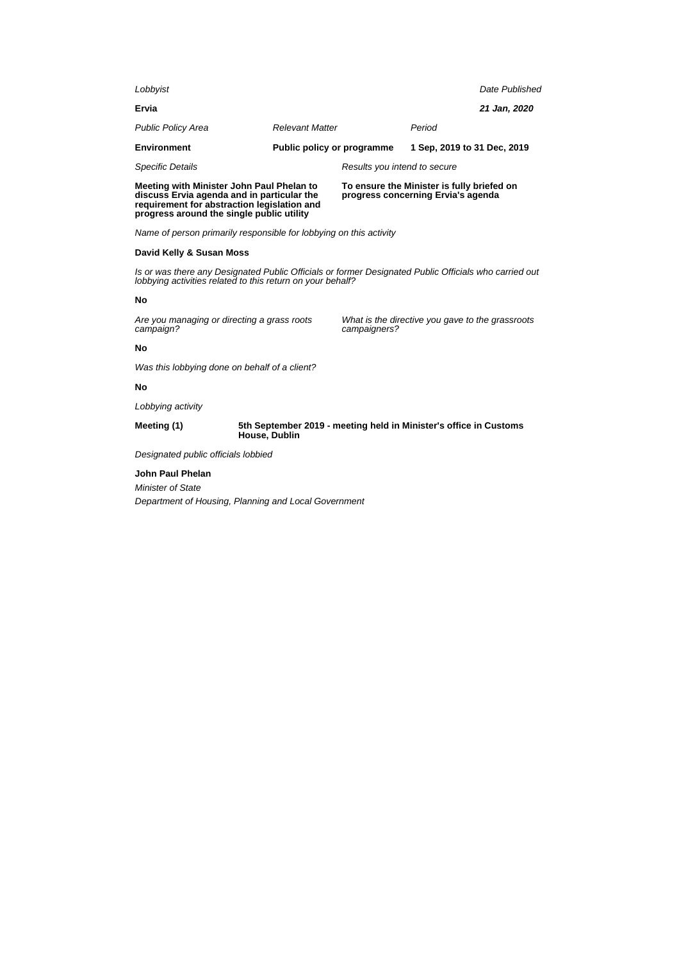| Meeting with Minister John Paul Phelan to<br>discuss Ervia agenda and in particular the |                            | To ensure the Minister is fully briefed on<br>progress concerning Ervia's agenda |                             |                |
|-----------------------------------------------------------------------------------------|----------------------------|----------------------------------------------------------------------------------|-----------------------------|----------------|
| <b>Specific Details</b>                                                                 |                            | Results you intend to secure                                                     |                             |                |
| Environment                                                                             | Public policy or programme |                                                                                  | 1 Sep. 2019 to 31 Dec. 2019 |                |
| <b>Public Policy Area</b>                                                               | <b>Relevant Matter</b>     |                                                                                  | Period                      |                |
| Ervia                                                                                   |                            |                                                                                  |                             | 21 Jan, 2020   |
| Lobbyist                                                                                |                            |                                                                                  |                             | Date Published |
|                                                                                         |                            |                                                                                  |                             |                |

Name of person primarily responsible for lobbying on this activity

## **David Kelly & Susan Moss**

Is or was there any Designated Public Officials or former Designated Public Officials who carried out lobbying activities related to this return on your behalf?

#### **No**

Are you managing or directing a grass roots campaign?

**requirement for abstraction legislation and progress around the single public utility**

> What is the directive you gave to the grassroots campaigners?

#### **No**

Was this lobbying done on behalf of a client?

## **No**

Lobbying activity

**Meeting (1) 5th September 2019 - meeting held in Minister's office in Customs House, Dublin**

Designated public officials lobbied

## **John Paul Phelan**

Minister of State Department of Housing, Planning and Local Government